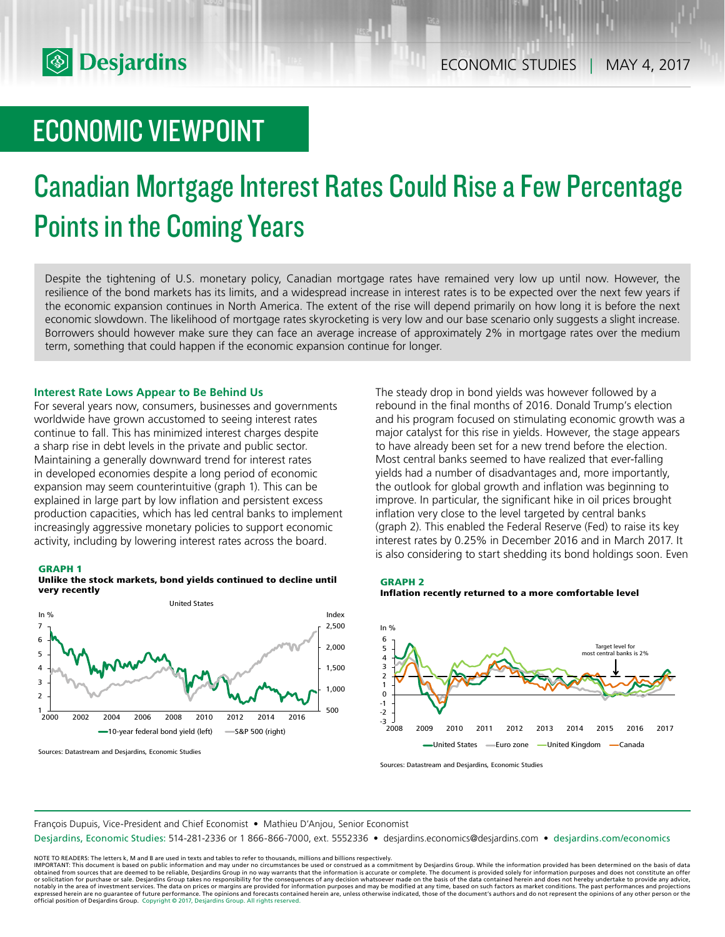

# ECONOMIC VIEWPOINT

# Canadian Mortgage Interest Rates Could Rise a Few Percentage Points in the Coming Years

Despite the tightening of U.S. monetary policy, Canadian mortgage rates have remained very low up until now. However, the resilience of the bond markets has its limits, and a widespread increase in interest rates is to be expected over the next few years if the economic expansion continues in North America. The extent of the rise will depend primarily on how long it is before the next economic slowdown. The likelihood of mortgage rates skyrocketing is very low and our base scenario only suggests a slight increase. Borrowers should however make sure they can face an average increase of approximately 2% in mortgage rates over the medium term, something that could happen if the economic expansion continue for longer.

#### **Interest Rate Lows Appear to Be Behind Us**

For several years now, consumers, businesses and governments worldwide have grown accustomed to seeing interest rates continue to fall. This has minimized interest charges despite a sharp rise in debt levels in the private and public sector. Maintaining a generally downward trend for interest rates in developed economies despite a long period of economic expansion may seem counterintuitive (graph 1). This can be explained in large part by low inflation and persistent excess production capacities, which has led central banks to implement increasingly aggressive monetary policies to support economic activity, including by lowering interest rates across the board.

#### **GRAPH 1**





Sources: Datastream and Desjardins, Economic Studies

The steady drop in bond yields was however followed by a rebound in the final months of 2016. Donald Trump's election and his program focused on stimulating economic growth was a major catalyst for this rise in yields. However, the stage appears to have already been set for a new trend before the election. Most central banks seemed to have realized that ever-falling yields had a number of disadvantages and, more importantly, the outlook for global growth and inflation was beginning to improve. In particular, the significant hike in oil prices brought inflation very close to the level targeted by central banks (graph 2). This enabled the Federal Reserve (Fed) to raise its key interest rates by 0.25% in December 2016 and in March 2017. It is also considering to start shedding its bond holdings soon. Even





Sources: Datastream and Desjardins, Economic Studies

François Dupuis, Vice-President and Chief Economist • Mathieu D'Anjou, Senior Economist

Desjardins, Economic Studies: 514-281-2336 or 1 866-866-7000, ext. 5552336 • desjardins.economics@desjardins.com • [desjardins.com/economics](http://desjardins.com/economics)

NOTE TO READERS: The letters k, M and B are used in texts and tables to refer to thousands, millions and billions respectively.<br>IMPORTANT: This document is based on public information and may under no circumstances be used obtained from sources that are deemed to be reliable, Desjardins Group in no way warrants that the information is accurate or complete. The document is provided solely for information purposes and does not constitute an of expressed herein are no guarantee of future performance. The opinions and forecasts contained herein are, unless otherwise indicated, those of the document's authors and do not represent the opinions of any other person or official position of Desjardins Group. Copyright © 2017, Desjardins Group. All rights reserved.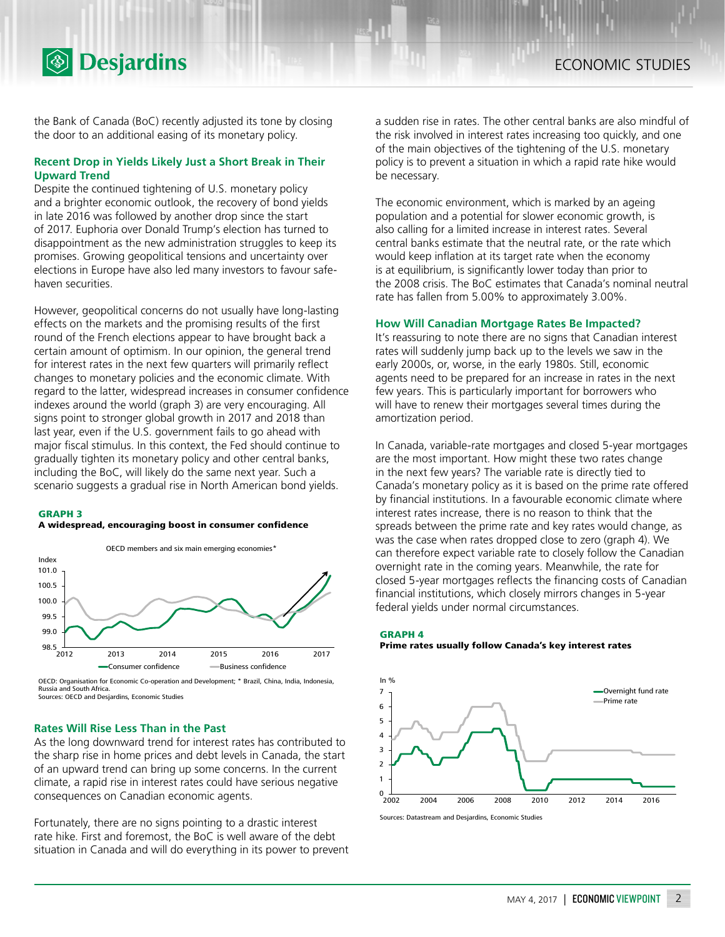

the Bank of Canada (BoC) recently adjusted its tone by closing the door to an additional easing of its monetary policy.

### **Recent Drop in Yields Likely Just a Short Break in Their Upward Trend**

Despite the continued tightening of U.S. monetary policy and a brighter economic outlook, the recovery of bond yields in late 2016 was followed by another drop since the start of 2017. Euphoria over Donald Trump's election has turned to disappointment as the new administration struggles to keep its promises. Growing geopolitical tensions and uncertainty over elections in Europe have also led many investors to favour safehaven securities.

However, geopolitical concerns do not usually have long-lasting effects on the markets and the promising results of the first round of the French elections appear to have brought back a certain amount of optimism. In our opinion, the general trend for interest rates in the next few quarters will primarily reflect changes to monetary policies and the economic climate. With regard to the latter, widespread increases in consumer confidence indexes around the world (graph 3) are very encouraging. All signs point to stronger global growth in 2017 and 2018 than last year, even if the U.S. government fails to go ahead with major fiscal stimulus. In this context, the Fed should continue to gradually tighten its monetary policy and other central banks, including the BoC, will likely do the same next year. Such a scenario suggests a gradual rise in North American bond yields.

#### **GRAPH 3**

#### **A widespread, encouraging boost in consumer confidence**



OECD: Organisation for Economic Co-operation and Development; \* Brazil, China, India, Indonesia, Russia and South Africa. Sources: OECD and Desjardins, Economic Studies

#### **Rates Will Rise Less Than in the Past**

As the long downward trend for interest rates has contributed to the sharp rise in home prices and debt levels in Canada, the start of an upward trend can bring up some concerns. In the current climate, a rapid rise in interest rates could have serious negative consequences on Canadian economic agents.

Fortunately, there are no signs pointing to a drastic interest rate hike. First and foremost, the BoC is well aware of the debt situation in Canada and will do everything in its power to prevent

a sudden rise in rates. The other central banks are also mindful of the risk involved in interest rates increasing too quickly, and one of the main objectives of the tightening of the U.S. monetary policy is to prevent a situation in which a rapid rate hike would be necessary.

The economic environment, which is marked by an ageing population and a potential for slower economic growth, is also calling for a limited increase in interest rates. Several central banks estimate that the neutral rate, or the rate which would keep inflation at its target rate when the economy is at equilibrium, is significantly lower today than prior to the 2008 crisis. The BoC estimates that Canada's nominal neutral rate has fallen from 5.00% to approximately 3.00%.

#### **How Will Canadian Mortgage Rates Be Impacted?**

It's reassuring to note there are no signs that Canadian interest rates will suddenly jump back up to the levels we saw in the early 2000s, or, worse, in the early 1980s. Still, economic agents need to be prepared for an increase in rates in the next few years. This is particularly important for borrowers who will have to renew their mortgages several times during the amortization period.

In Canada, variable-rate mortgages and closed 5-year mortgages are the most important. How might these two rates change in the next few years? The variable rate is directly tied to Canada's monetary policy as it is based on the prime rate offered by financial institutions. In a favourable economic climate where interest rates increase, there is no reason to think that the spreads between the prime rate and key rates would change, as was the case when rates dropped close to zero (graph 4). We can therefore expect variable rate to closely follow the Canadian overnight rate in the coming years. Meanwhile, the rate for closed 5‑year mortgages reflects the financing costs of Canadian financial institutions, which closely mirrors changes in 5-year federal yields under normal circumstances.



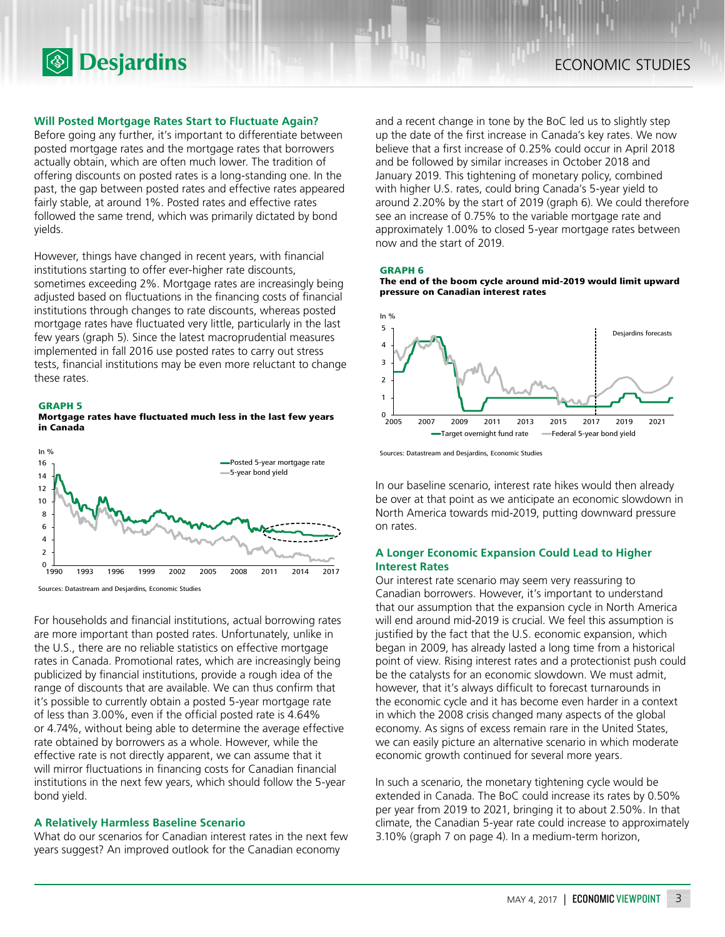

#### **Will Posted Mortgage Rates Start to Fluctuate Again?**

Before going any further, it's important to differentiate between posted mortgage rates and the mortgage rates that borrowers actually obtain, which are often much lower. The tradition of offering discounts on posted rates is a long-standing one. In the past, the gap between posted rates and effective rates appeared fairly stable, at around 1%. Posted rates and effective rates followed the same trend, which was primarily dictated by bond yields.

However, things have changed in recent years, with financial institutions starting to offer ever-higher rate discounts, sometimes exceeding 2%. Mortgage rates are increasingly being adjusted based on fluctuations in the financing costs of financial institutions through changes to rate discounts, whereas posted mortgage rates have fluctuated very little, particularly in the last few years (graph 5). Since the latest macroprudential measures implemented in fall 2016 use posted rates to carry out stress tests, financial institutions may be even more reluctant to change these rates.



**Mortgage rates have fluctuated much less in the last few years in Canada**



Sources: Datastream and Desjardins, Economic Studies

For households and financial institutions, actual borrowing rates are more important than posted rates. Unfortunately, unlike in the U.S., there are no reliable statistics on effective mortgage rates in Canada. Promotional rates, which are increasingly being publicized by financial institutions, provide a rough idea of the range of discounts that are available. We can thus confirm that it's possible to currently obtain a posted 5-year mortgage rate of less than 3.00%, even if the official posted rate is 4.64% or 4.74%, without being able to determine the average effective rate obtained by borrowers as a whole. However, while the effective rate is not directly apparent, we can assume that it will mirror fluctuations in financing costs for Canadian financial institutions in the next few years, which should follow the 5-year bond yield.

### **A Relatively Harmless Baseline Scenario**

What do our scenarios for Canadian interest rates in the next few years suggest? An improved outlook for the Canadian economy

and a recent change in tone by the BoC led us to slightly step up the date of the first increase in Canada's key rates. We now believe that a first increase of 0.25% could occur in April 2018 and be followed by similar increases in October 2018 and January 2019. This tightening of monetary policy, combined with higher U.S. rates, could bring Canada's 5-year yield to around 2.20% by the start of 2019 (graph 6). We could therefore see an increase of 0.75% to the variable mortgage rate and approximately 1.00% to closed 5-year mortgage rates between now and the start of 2019.

#### **GRAPH 6**

**The end of the boom cycle around mid-2019 would limit upward pressure on Canadian interest rates**



Sources: Datastream and Desjardins, Economic Studies

In our baseline scenario, interest rate hikes would then already be over at that point as we anticipate an economic slowdown in North America towards mid-2019, putting downward pressure on rates.

## **A Longer Economic Expansion Could Lead to Higher Interest Rates**

Our interest rate scenario may seem very reassuring to Canadian borrowers. However, it's important to understand that our assumption that the expansion cycle in North America will end around mid-2019 is crucial. We feel this assumption is justified by the fact that the U.S. economic expansion, which began in 2009, has already lasted a long time from a historical point of view. Rising interest rates and a protectionist push could be the catalysts for an economic slowdown. We must admit, however, that it's always difficult to forecast turnarounds in the economic cycle and it has become even harder in a context in which the 2008 crisis changed many aspects of the global economy. As signs of excess remain rare in the United States, we can easily picture an alternative scenario in which moderate economic growth continued for several more years.

In such a scenario, the monetary tightening cycle would be extended in Canada. The BoC could increase its rates by 0.50% per year from 2019 to 2021, bringing it to about 2.50%. In that climate, the Canadian 5-year rate could increase to approximately 3.10% (graph 7 on page 4). In a medium-term horizon,